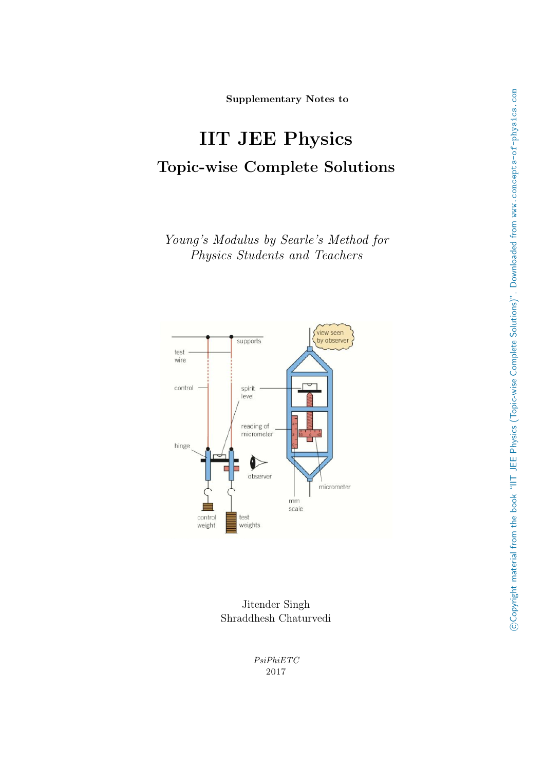Supplementary Notes to

# IIT JEE Physics Topic-wise Complete Solutions

Young's Modulus by Searle's Method for Physics Students and Teachers



Jitender Singh Shraddhesh Chaturvedi

> PsiPhiETC 2017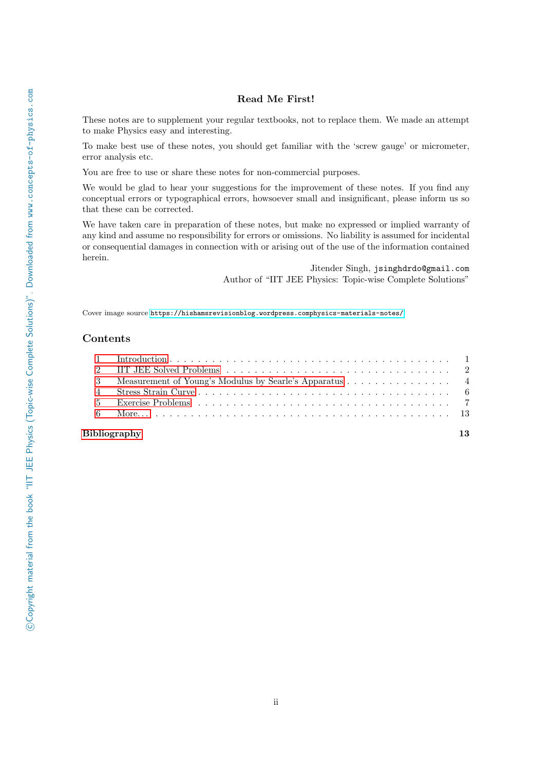# Read Me First!

These notes are to supplement your regular textbooks, not to replace them. We made an attempt to make Physics easy and interesting.

To make best use of these notes, you should get familiar with the 'screw gauge' or micrometer, error analysis etc.

You are free to use or share these notes for non-commercial purposes.

We would be glad to hear your suggestions for the improvement of these notes. If you find any conceptual errors or typographical errors, howsoever small and insignificant, please inform us so that these can be corrected.

We have taken care in preparation of these notes, but make no expressed or implied warranty of any kind and assume no responsibility for errors or omissions. No liability is assumed for incidental or consequential damages in connection with or arising out of the use of the information contained herein.

> Jitender Singh, jsinghdrdo@gmail.com Author of "IIT JEE Physics: Topic-wise Complete Solutions"

Cover image source <https://hishamsrevisionblog.wordpress.comphysics-materials-notes/>

## Contents

| 3 Measurement of Young's Modulus by Searle's Apparatus 4 |
|----------------------------------------------------------|
|                                                          |
|                                                          |
|                                                          |
|                                                          |

## [Bibliography](#page-14-1) 13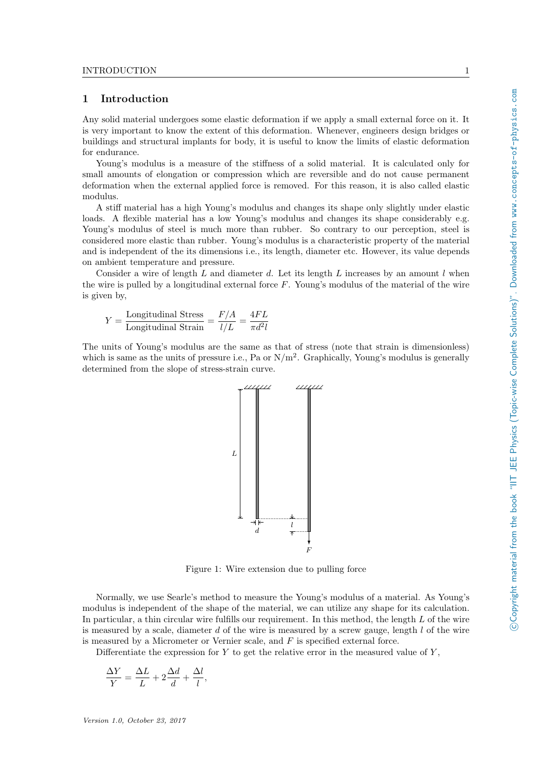# <span id="page-2-0"></span>1 Introduction

Any solid material undergoes some elastic deformation if we apply a small external force on it. It is very important to know the extent of this deformation. Whenever, engineers design bridges or buildings and structural implants for body, it is useful to know the limits of elastic deformation for endurance.

Young's modulus is a measure of the stiffness of a solid material. It is calculated only for small amounts of elongation or compression which are reversible and do not cause permanent deformation when the external applied force is removed. For this reason, it is also called elastic modulus.

A stiff material has a high Young's modulus and changes its shape only slightly under elastic loads. A flexible material has a low Young's modulus and changes its shape considerably e.g. Young's modulus of steel is much more than rubber. So contrary to our perception, steel is considered more elastic than rubber. Young's modulus is a characteristic property of the material and is independent of the its dimensions i.e., its length, diameter etc. However, its value depends on ambient temperature and pressure.

Consider a wire of length L and diameter d. Let its length L increases by an amount l when the wire is pulled by a longitudinal external force  $F$ . Young's modulus of the material of the wire is given by,

$$
Y = \frac{\text{Longitudinal Stress}}{\text{Longitudinal Strain}} = \frac{F/A}{l/L} = \frac{4FL}{\pi d^2 l}
$$

The units of Young's modulus are the same as that of stress (note that strain is dimensionless) which is same as the units of pressure i.e., Pa or  $N/m^2$ . Graphically, Young's modulus is generally determined from the slope of stress-strain curve.



Figure 1: Wire extension due to pulling force

Normally, we use Searle's method to measure the Young's modulus of a material. As Young's modulus is independent of the shape of the material, we can utilize any shape for its calculation. In particular, a thin circular wire fulfills our requirement. In this method, the length L of the wire is measured by a scale, diameter d of the wire is measured by a screw gauge, length  $l$  of the wire is measured by a Micrometer or Vernier scale, and F is specified external force.

Differentiate the expression for  $Y$  to get the relative error in the measured value of  $Y$ ,

$$
\frac{\Delta Y}{Y} = \frac{\Delta L}{L} + 2\frac{\Delta d}{d} + \frac{\Delta l}{l},
$$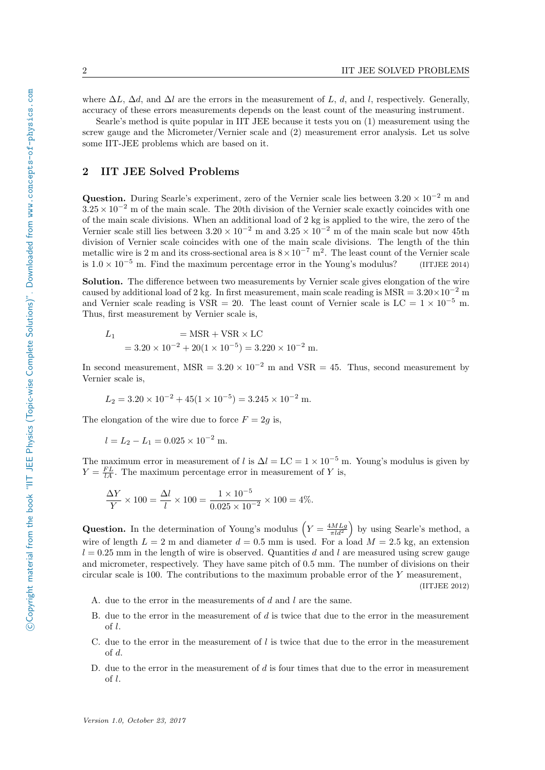where  $\Delta L$ ,  $\Delta d$ , and  $\Delta l$  are the errors in the measurement of L, d, and l, respectively. Generally, accuracy of these errors measurements depends on the least count of the measuring instrument.

Searle's method is quite popular in IIT JEE because it tests you on (1) measurement using the screw gauge and the Micrometer/Vernier scale and (2) measurement error analysis. Let us solve some IIT-JEE problems which are based on it.

## <span id="page-3-0"></span>2 IIT JEE Solved Problems

Question. During Searle's experiment, zero of the Vernier scale lies between  $3.20 \times 10^{-2}$  m and  $3.25 \times 10^{-2}$  m of the main scale. The 20th division of the Vernier scale exactly coincides with one of the main scale divisions. When an additional load of 2 kg is applied to the wire, the zero of the Vernier scale still lies between  $3.20 \times 10^{-2}$  m and  $3.25 \times 10^{-2}$  m of the main scale but now 45th division of Vernier scale coincides with one of the main scale divisions. The length of the thin metallic wire is 2 m and its cross-sectional area is  $8 \times 10^{-7}$  m<sup>2</sup>. The least count of the Vernier scale is  $1.0 \times 10^{-5}$  m. Find the maximum percentage error in the Young's modulus? (IITJEE 2014)

Solution. The difference between two measurements by Vernier scale gives elongation of the wire caused by additional load of 2 kg. In first measurement, main scale reading is MSR =  $3.20 \times 10^{-2}$  m and Vernier scale reading is VSR = 20. The least count of Vernier scale is LC =  $1 \times 10^{-5}$  m. Thus, first measurement by Vernier scale is,

$$
L_1 = \text{MSR} + \text{VSR} \times \text{LC}
$$
  
= 3.20 × 10<sup>-2</sup> + 20(1 × 10<sup>-5</sup>) = 3.220 × 10<sup>-2</sup> m.

In second measurement, MSR =  $3.20 \times 10^{-2}$  m and VSR = 45. Thus, second measurement by Vernier scale is,

$$
L_2 = 3.20 \times 10^{-2} + 45(1 \times 10^{-5}) = 3.245 \times 10^{-2}
$$
 m.

The elongation of the wire due to force  $F = 2g$  is,

$$
l = L_2 - L_1 = 0.025 \times 10^{-2} \text{ m}.
$$

The maximum error in measurement of l is  $\Delta l = LC = 1 \times 10^{-5}$  m. Young's modulus is given by  $Y = \frac{FL}{lA}$ . The maximum percentage error in measurement of Y is,

$$
\frac{\Delta Y}{Y} \times 100 = \frac{\Delta l}{l} \times 100 = \frac{1 \times 10^{-5}}{0.025 \times 10^{-2}} \times 100 = 4\%.
$$

**Question.** In the determination of Young's modulus  $\left(Y = \frac{4MLg}{\pi l d^2}\right)$  by using Searle's method, a wire of length  $L = 2$  m and diameter  $d = 0.5$  mm is used. For a load  $M = 2.5$  kg, an extension  $l = 0.25$  mm in the length of wire is observed. Quantities d and l are measured using screw gauge and micrometer, respectively. They have same pitch of 0.5 mm. The number of divisions on their circular scale is 100. The contributions to the maximum probable error of the Y measurement, (IITJEE 2012)

- A. due to the error in the measurements of d and l are the same.
- B. due to the error in the measurement of  $d$  is twice that due to the error in the measurement of l.
- C. due to the error in the measurement of  $l$  is twice that due to the error in the measurement of d.
- D. due to the error in the measurement of  $d$  is four times that due to the error in measurement of l.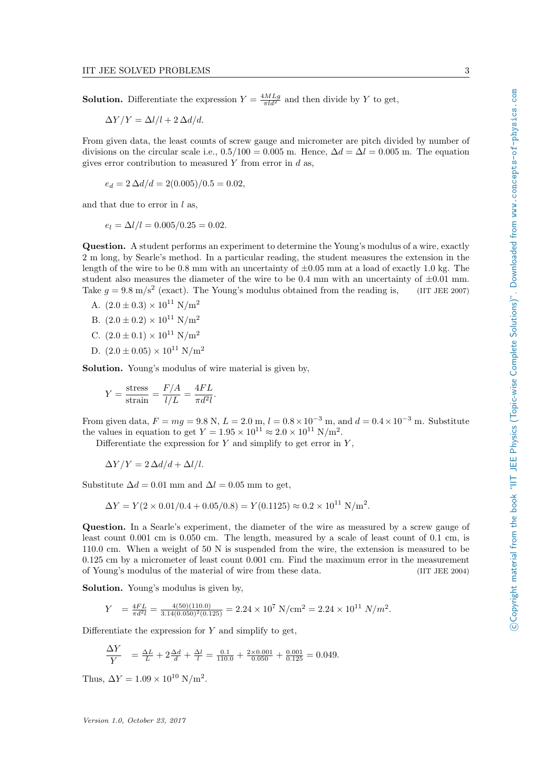**Solution.** Differentiate the expression  $Y = \frac{4MLg}{\pi l d^2}$  and then divide by Y to get,

 $\Delta Y/Y = \Delta l/l + 2 \Delta d/d.$ 

From given data, the least counts of screw gauge and micrometer are pitch divided by number of divisions on the circular scale i.e.,  $0.5/100 = 0.005$  m. Hence,  $\Delta d = \Delta l = 0.005$  m. The equation gives error contribution to measured  $Y$  from error in  $d$  as,

$$
e_d = 2 \Delta d/d = 2(0.005)/0.5 = 0.02,
$$

and that due to error in  $l$  as,

$$
e_l = \Delta l/l = 0.005/0.25 = 0.02.
$$

Question. A student performs an experiment to determine the Young's modulus of a wire, exactly 2 m long, by Searle's method. In a particular reading, the student measures the extension in the length of the wire to be 0.8 mm with an uncertainty of  $\pm 0.05$  mm at a load of exactly 1.0 kg. The student also measures the diameter of the wire to be 0.4 mm with an uncertainty of  $\pm 0.01$  mm. Take  $g = 9.8 \text{ m/s}^2$  (exact). The Young's modulus obtained from the reading is, (IIT JEE 2007)

- A.  $(2.0 \pm 0.3) \times 10^{11}$  N/m<sup>2</sup>
- B.  $(2.0 \pm 0.2) \times 10^{11}$  N/m<sup>2</sup>
- C.  $(2.0 \pm 0.1) \times 10^{11}$  N/m<sup>2</sup>
- D.  $(2.0 \pm 0.05) \times 10^{11}$  N/m<sup>2</sup>

Solution. Young's modulus of wire material is given by,

$$
Y = \frac{\text{stress}}{\text{strain}} = \frac{F/A}{l/L} = \frac{4FL}{\pi d^2 l}.
$$

From given data,  $F = mg = 9.8$  N,  $L = 2.0$  m,  $l = 0.8 \times 10^{-3}$  m, and  $d = 0.4 \times 10^{-3}$  m. Substitute the values in equation to get  $Y = 1.95 \times 10^{11} \approx 2.0 \times 10^{11} \text{ N/m}^2$ .

Differentiate the expression for  $Y$  and simplify to get error in  $Y$ ,

$$
\Delta Y/Y = 2\,\Delta d/d + \Delta l/l.
$$

Substitute  $\Delta d = 0.01$  mm and  $\Delta l = 0.05$  mm to get,

$$
\Delta Y = Y(2 \times 0.01/0.4 + 0.05/0.8) = Y(0.1125) \approx 0.2 \times 10^{11} \text{ N/m}^2.
$$

Question. In a Searle's experiment, the diameter of the wire as measured by a screw gauge of least count 0.001 cm is 0.050 cm. The length, measured by a scale of least count of 0.1 cm, is 110.0 cm. When a weight of 50 N is suspended from the wire, the extension is measured to be 0.125 cm by a micrometer of least count 0.001 cm. Find the maximum error in the measurement of Young's modulus of the material of wire from these data. (IIT JEE 2004)

Solution. Young's modulus is given by.

$$
Y = \frac{4FL}{\pi d^2 l} = \frac{4(50)(110.0)}{3.14(0.050)^2(0.125)} = 2.24 \times 10^7 \text{ N/cm}^2 = 2.24 \times 10^{11} \text{ N/m}^2.
$$

Differentiate the expression for  $Y$  and simplify to get,

$$
\frac{\Delta Y}{Y} = \frac{\Delta L}{L} + 2\frac{\Delta d}{d} + \frac{\Delta l}{l} = \frac{0.1}{110.0} + \frac{2 \times 0.001}{0.050} + \frac{0.001}{0.125} = 0.049.
$$

Thus,  $\Delta Y = 1.09 \times 10^{10} \text{ N/m}^2$ .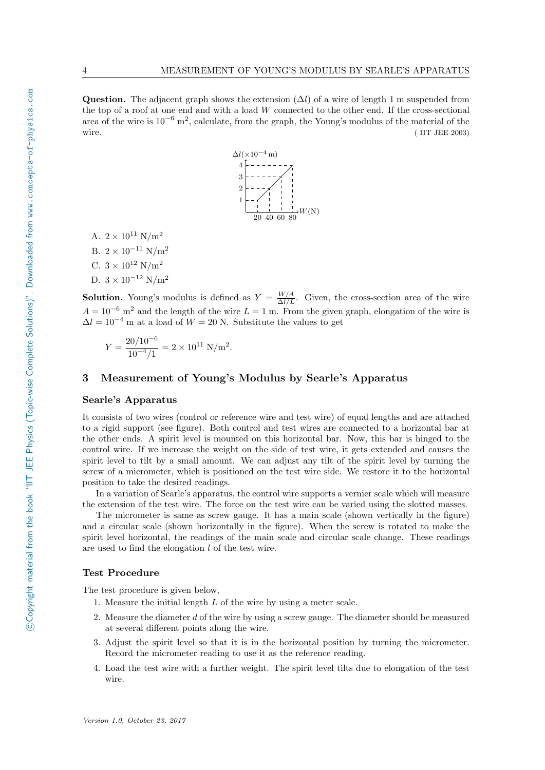Question. The adjacent graph shows the extension  $(\Delta l)$  of a wire of length 1 m suspended from the top of a roof at one end and with a load W connected to the other end. If the cross-sectional area of the wire is 10−<sup>6</sup> m<sup>2</sup> , calculate, from the graph, the Young's modulus of the material of the wire. (IIT JEE 2003)



A.  $2 \times 10^{11}$  N/m<sup>2</sup> B.  $2 \times 10^{-11}$  N/m<sup>2</sup> C.  $3 \times 10^{12}$  N/m<sup>2</sup> D.  $3 \times 10^{-12}$  N/m<sup>2</sup>

**Solution.** Young's modulus is defined as  $Y = \frac{W/A}{\Delta l/L}$ . Given, the cross-section area of the wire  $A = 10^{-6}$  m<sup>2</sup> and the length of the wire  $L = 1$  m. From the given graph, elongation of the wire is  $\Delta l = 10^{-4}$  m at a load of  $W = 20$  N. Substitute the values to get

$$
Y = \frac{20/10^{-6}}{10^{-4}/1} = 2 \times 10^{11} \text{ N/m}^2.
$$

# <span id="page-5-0"></span>3 Measurement of Young's Modulus by Searle's Apparatus

#### Searle's Apparatus

It consists of two wires (control or reference wire and test wire) of equal lengths and are attached to a rigid support (see figure). Both control and test wires are connected to a horizontal bar at the other ends. A spirit level is mounted on this horizontal bar. Now, this bar is hinged to the control wire. If we increase the weight on the side of test wire, it gets extended and causes the spirit level to tilt by a small amount. We can adjust any tilt of the spirit level by turning the screw of a micrometer, which is positioned on the test wire side. We restore it to the horizontal position to take the desired readings.

In a variation of Searle's apparatus, the control wire supports a vernier scale which will measure the extension of the test wire. The force on the test wire can be varied using the slotted masses.

The micrometer is same as screw gauge. It has a main scale (shown vertically in the figure) and a circular scale (shown horizontally in the figure). When the screw is rotated to make the spirit level horizontal, the readings of the main scale and circular scale change. These readings are used to find the elongation l of the test wire.

#### Test Procedure

The test procedure is given below,

- 1. Measure the initial length L of the wire by using a meter scale.
- 2. Measure the diameter d of the wire by using a screw gauge. The diameter should be measured at several different points along the wire.
- 3. Adjust the spirit level so that it is in the horizontal position by turning the micrometer. Record the micrometer reading to use it as the reference reading.
- 4. Load the test wire with a further weight. The spirit level tilts due to elongation of the test wire.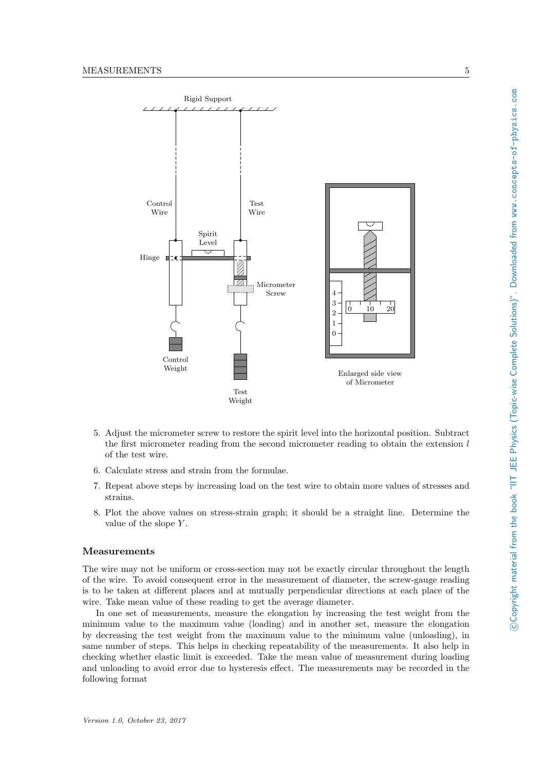

- 5. Adjust the micrometer screw to restore the spirit level into the horizontal position. Subtract the first micrometer reading from the second micrometer reading to obtain the extension  $l$ of the test wire.
- 6. Calculate stress and strain from the formulae.
- 7. Repeat above steps by increasing load on the test wire to obtain more values of stresses and strains.
- 8. Plot the above values on stress-strain graph; it should be a straight line. Determine the value of the slope  $Y$ .

#### Measurements

The wire may not be uniform or cross-section may not be exactly circular throughout the length of the wire. To avoid consequent error in the measurement of diameter, the screw-gauge reading is to be taken at different places and at mutually perpendicular directions at each place of the wire. Take mean value of these reading to get the average diameter.

In one set of measurements, measure the elongation by increasing the test weight from the minimum value to the maximum value (loading) and in another set, measure the elongation by decreasing the test weight from the maximum value to the minimum value (unloading), in same number of steps. This helps in checking repeatability of the measurements. It also help in checking whether elastic limit is exceeded. Take the mean value of measurement during loading and unloading to avoid error due to hysteresis effect. The measurements may be recorded in the following format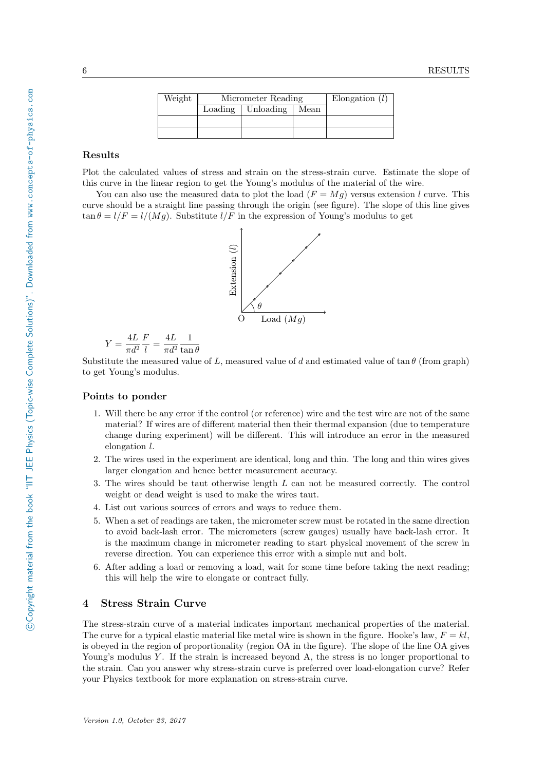| Weight | Micrometer Reading |           |      | Elongation $(l)$ |
|--------|--------------------|-----------|------|------------------|
|        | Loading            | Unloading | Mean |                  |
|        |                    |           |      |                  |
|        |                    |           |      |                  |

# Results

Plot the calculated values of stress and strain on the stress-strain curve. Estimate the slope of this curve in the linear region to get the Young's modulus of the material of the wire.

You can also use the measured data to plot the load  $(F = Mg)$  versus extension l curve. This curve should be a straight line passing through the origin (see figure). The slope of this line gives  $\tan \theta = l/F = l/(Mq)$ . Substitute  $l/F$  in the expression of Young's modulus to get



$$
Y = \frac{4L}{\pi d^2} \frac{F}{l} = \frac{4L}{\pi d^2} \frac{1}{\tan \theta}
$$

Substitute the measured value of L, measured value of d and estimated value of  $\tan \theta$  (from graph) to get Young's modulus.

## Points to ponder

- 1. Will there be any error if the control (or reference) wire and the test wire are not of the same material? If wires are of different material then their thermal expansion (due to temperature change during experiment) will be different. This will introduce an error in the measured elongation l.
- 2. The wires used in the experiment are identical, long and thin. The long and thin wires gives larger elongation and hence better measurement accuracy.
- 3. The wires should be taut otherwise length L can not be measured correctly. The control weight or dead weight is used to make the wires taut.
- 4. List out various sources of errors and ways to reduce them.
- 5. When a set of readings are taken, the micrometer screw must be rotated in the same direction to avoid back-lash error. The micrometers (screw gauges) usually have back-lash error. It is the maximum change in micrometer reading to start physical movement of the screw in reverse direction. You can experience this error with a simple nut and bolt.
- 6. After adding a load or removing a load, wait for some time before taking the next reading; this will help the wire to elongate or contract fully.

## <span id="page-7-0"></span>4 Stress Strain Curve

The stress-strain curve of a material indicates important mechanical properties of the material. The curve for a typical elastic material like metal wire is shown in the figure. Hooke's law,  $F = kl$ , is obeyed in the region of proportionality (region OA in the figure). The slope of the line OA gives Young's modulus Y. If the strain is increased beyond A, the stress is no longer proportional to the strain. Can you answer why stress-strain curve is preferred over load-elongation curve? Refer your Physics textbook for more explanation on stress-strain curve.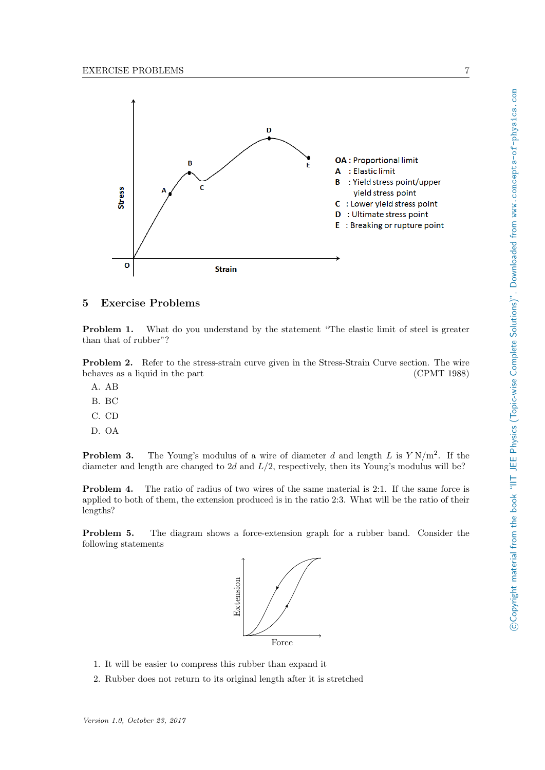

# <span id="page-8-0"></span>5 Exercise Problems

Problem 1. What do you understand by the statement "The elastic limit of steel is greater than that of rubber"?

Problem 2. Refer to the stress-strain curve given in the Stress-Strain Curve section. The wire behaves as a liquid in the part (CPMT 1988)

- A. AB
- B. BC
- C. CD
- D. OA

**Problem 3.** The Young's modulus of a wire of diameter d and length L is  $Y N/m^2$ . If the diameter and length are changed to 2d and  $L/2$ , respectively, then its Young's modulus will be?

Problem 4. The ratio of radius of two wires of the same material is 2:1. If the same force is applied to both of them, the extension produced is in the ratio 2:3. What will be the ratio of their lengths?

Problem 5. The diagram shows a force-extension graph for a rubber band. Consider the following statements



- 1. It will be easier to compress this rubber than expand it
- 2. Rubber does not return to its original length after it is stretched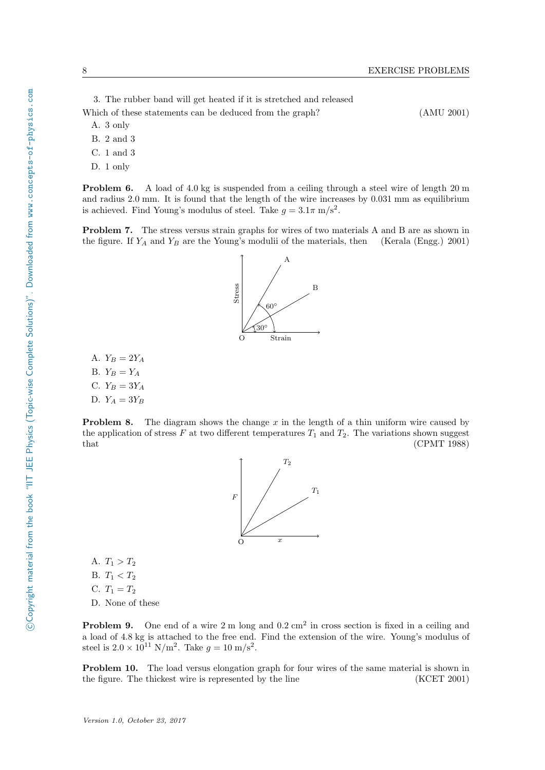3. The rubber band will get heated if it is stretched and released

Which of these statements can be deduced from the graph? (AMU 2001)

- A. 3 only
- B. 2 and 3
- C. 1 and 3
- D. 1 only

**Problem 6.** A load of 4.0 kg is suspended from a ceiling through a steel wire of length 20 m and radius 2.0 mm. It is found that the length of the wire increases by 0.031 mm as equilibrium is achieved. Find Young's modulus of steel. Take  $g = 3.1\pi \text{ m/s}^2$ .

Problem 7. The stress versus strain graphs for wires of two materials A and B are as shown in the figure. If  $Y_A$  and  $Y_B$  are the Young's modulii of the materials, then (Kerala (Engg.) 2001)

A.  $Y_B = 2Y_A$ B.  $Y_B = Y_A$ C.  $Y_B = 3Y_A$ D.  $Y_A = 3Y_B$ 

**Problem 8.** The diagram shows the change  $x$  in the length of a thin uniform wire caused by the application of stress F at two different temperatures  $T_1$  and  $T_2$ . The variations shown suggest that  $(CPMT 1988)$ 



A.  $T_1 > T_2$ B.  $T_1 < T_2$ C.  $T_1 = T_2$ D. None of these

**Problem 9.** One end of a wire  $2 \text{ m}$  long and  $0.2 \text{ cm}^2$  in cross section is fixed in a ceiling and a load of 4.8 kg is attached to the free end. Find the extension of the wire. Young's modulus of steel is  $2.0 \times 10^{11} \text{ N/m}^2$ . Take  $g = 10 \text{ m/s}^2$ .

Problem 10. The load versus elongation graph for four wires of the same material is shown in the figure. The thickest wire is represented by the line (KCET 2001)

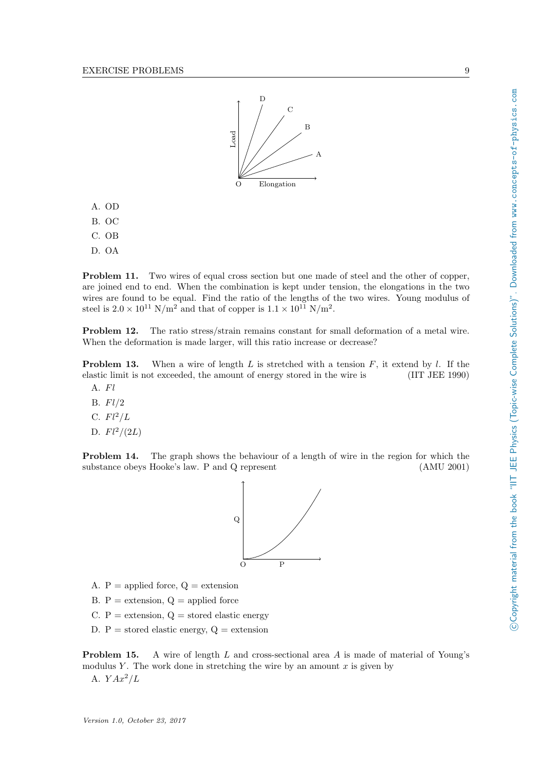

- A. OD
- B. OC
- C. OB
- D. OA

Problem 11. Two wires of equal cross section but one made of steel and the other of copper, are joined end to end. When the combination is kept under tension, the elongations in the two wires are found to be equal. Find the ratio of the lengths of the two wires. Young modulus of steel is  $2.0 \times 10^{11}$  N/m<sup>2</sup> and that of copper is  $1.1 \times 10^{11}$  N/m<sup>2</sup>.

Problem 12. The ratio stress/strain remains constant for small deformation of a metal wire. When the deformation is made larger, will this ratio increase or decrease?

**Problem 13.** When a wire of length L is stretched with a tension F, it extend by l. If the elastic limit is not exceeded, the amount of energy stored in the wire is (IIT JEE 1990)

- A. Fl
- B.  $Fl/2$
- C.  $Fl^2/L$
- D.  $Fl^2/(2L)$

Problem 14. The graph shows the behaviour of a length of wire in the region for which the substance obeys Hooke's law. P and Q represent (AMU 2001)



- A.  $P =$  applied force,  $Q =$  extension
- B.  $P =$  extension,  $Q =$  applied force
- C.  $P =$  extension,  $Q =$  stored elastic energy
- D.  $P =$  stored elastic energy,  $Q =$  extension

**Problem 15.** A wire of length  $L$  and cross-sectional area  $A$  is made of material of Young's modulus Y. The work done in stretching the wire by an amount  $x$  is given by A.  $Y Ax^2/L$ 

COpyright material from the book "IIT JEE Physics (Topic-wise Complete Solutions)". Downloaded from www.concepts-of-physics.com c Copyright material from the book "IIT JEE Physics (Topic-wise Complete Solutions)". Downloaded from www.concepts-of-physics.com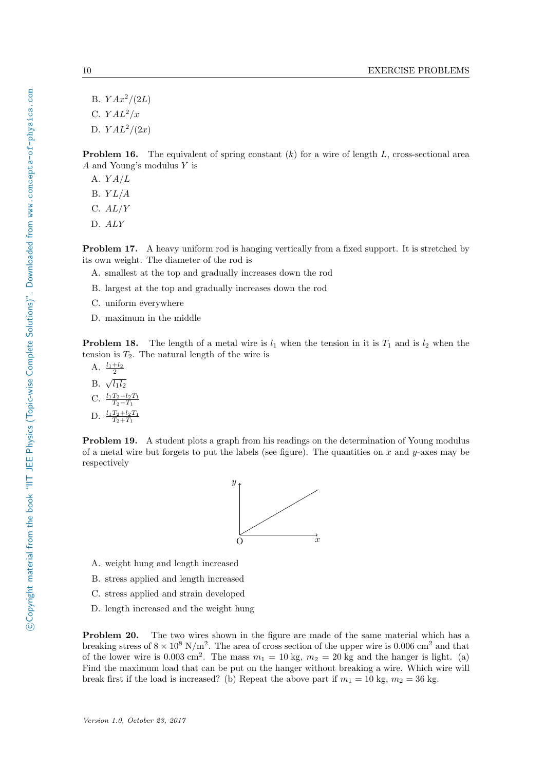B.  $YAx^2/(2L)$ C.  $YAL^2/x$ D.  $YAL^2/(2x)$ 

**Problem 16.** The equivalent of spring constant  $(k)$  for a wire of length  $L$ , cross-sectional area A and Young's modulus Y is

A.  $YA/L$ 

B.  $YL/A$ 

C.  $AL/Y$ 

D. ALY

Problem 17. A heavy uniform rod is hanging vertically from a fixed support. It is stretched by its own weight. The diameter of the rod is

- A. smallest at the top and gradually increases down the rod
- B. largest at the top and gradually increases down the rod
- C. uniform everywhere
- D. maximum in the middle

**Problem 18.** The length of a metal wire is  $l_1$  when the tension in it is  $T_1$  and is  $l_2$  when the tension is  $T_2$ . The natural length of the wire is

A.  $\frac{l_1+l_2}{2}$ B.  $\sqrt{l_1 l_2}$ C.  $\frac{l_1T_2-l_2T_1}{T_2-T_1}$ D.  $\frac{l_1T_2+l_2T_1}{T_2+T_1}$ 

Problem 19. A student plots a graph from his readings on the determination of Young modulus of a metal wire but forgets to put the labels (see figure). The quantities on x and y-axes may be respectively



- A. weight hung and length increased
- B. stress applied and length increased
- C. stress applied and strain developed
- D. length increased and the weight hung

Problem 20. The two wires shown in the figure are made of the same material which has a breaking stress of  $8 \times 10^8$  N/m<sup>2</sup>. The area of cross section of the upper wire is 0.006 cm<sup>2</sup> and that of the lower wire is 0.003 cm<sup>2</sup>. The mass  $m_1 = 10$  kg,  $m_2 = 20$  kg and the hanger is light. (a) Find the maximum load that can be put on the hanger without breaking a wire. Which wire will break first if the load is increased? (b) Repeat the above part if  $m_1 = 10$  kg,  $m_2 = 36$  kg.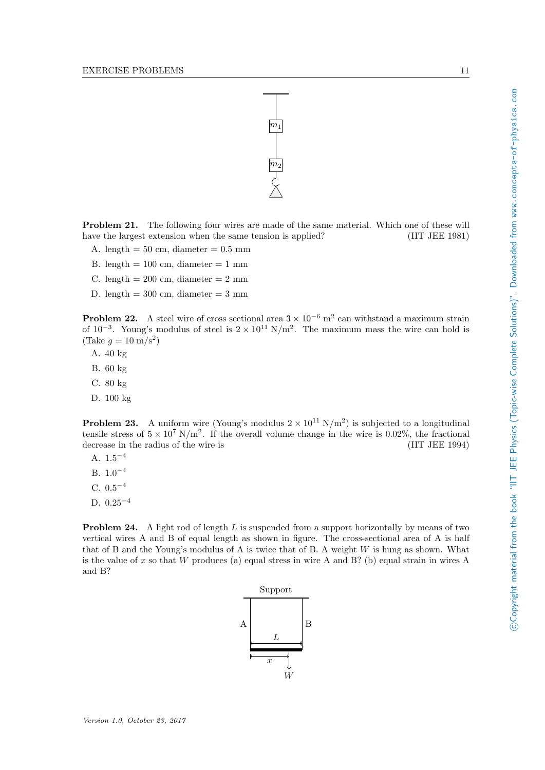

Problem 21. The following four wires are made of the same material. Which one of these will have the largest extension when the same tension is applied? (IIT JEE 1981)

- A. length  $= 50$  cm, diameter  $= 0.5$  mm
- B. length  $= 100$  cm, diameter  $= 1$  mm
- C. length =  $200 \text{ cm}$ , diameter =  $2 \text{ mm}$
- D. length  $= 300$  cm, diameter  $= 3$  mm

**Problem 22.** A steel wire of cross sectional area  $3 \times 10^{-6}$  m<sup>2</sup> can withstand a maximum strain of 10<sup>-3</sup>. Young's modulus of steel is  $2 \times 10^{11}$  N/m<sup>2</sup>. The maximum mass the wire can hold is  $(\text{Take } g = 10 \text{ m/s}^2)$ 

- A. 40 kg
- B. 60 kg
- C. 80 kg
- D. 100 kg

**Problem 23.** A uniform wire (Young's modulus  $2 \times 10^{11} \text{ N/m}^2$ ) is subjected to a longitudinal tensile stress of  $5 \times 10^7$  N/m<sup>2</sup>. If the overall volume change in the wire is 0.02%, the fractional decrease in the radius of the wire is (IIT JEE 1994)

- A.  $1.5^{-4}$
- B.  $1.0^{-4}$
- C.  $0.5^{-4}$
- D.  $0.25<sup>-4</sup>$

**Problem 24.** A light rod of length  $L$  is suspended from a support horizontally by means of two vertical wires A and B of equal length as shown in figure. The cross-sectional area of A is half that of B and the Young's modulus of A is twice that of B. A weight W is hung as shown. What is the value of x so that  $W$  produces (a) equal stress in wire A and B? (b) equal strain in wires A and B?

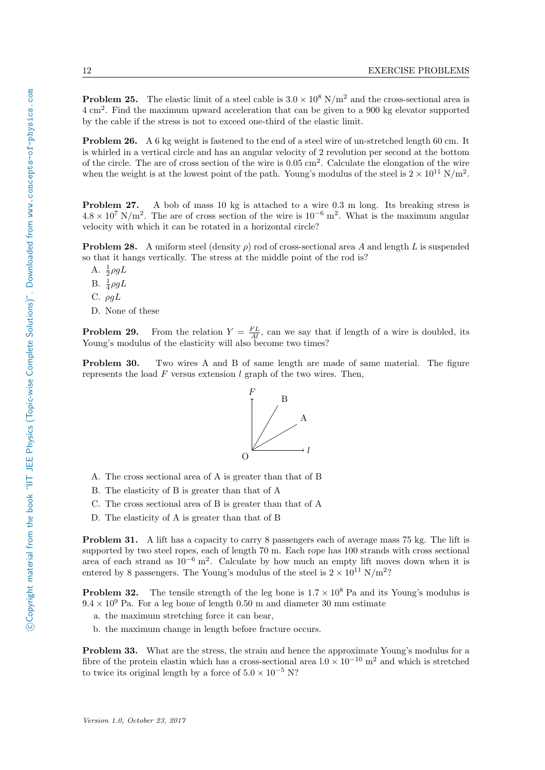**Problem 25.** The elastic limit of a steel cable is  $3.0 \times 10^8$  N/m<sup>2</sup> and the cross-sectional area is 4 cm<sup>2</sup> . Find the maximum upward acceleration that can be given to a 900 kg elevator supported by the cable if the stress is not to exceed one-third of the elastic limit.

Problem 26. A 6 kg weight is fastened to the end of a steel wire of un-stretched length 60 cm. It is whirled in a vertical circle and has an angular velocity of 2 revolution per second at the bottom of the circle. The are of cross section of the wire is 0.05 cm<sup>2</sup> . Calculate the elongation of the wire when the weight is at the lowest point of the path. Young's modulus of the steel is  $2 \times 10^{11}$  N/m<sup>2</sup>.

Problem 27. A bob of mass 10 kg is attached to a wire 0.3 m long. Its breaking stress is  $4.8 \times 10^7$  N/m<sup>2</sup>. The are of cross section of the wire is  $10^{-6}$  m<sup>2</sup>. What is the maximum angular velocity with which it can be rotated in a horizontal circle?

**Problem 28.** A uniform steel (density  $\rho$ ) rod of cross-sectional area A and length L is suspended so that it hangs vertically. The stress at the middle point of the rod is?

- A.  $\frac{1}{2}\rho g L$
- B.  $\frac{1}{4}\rho gL$
- C.  $\rho gL$
- D. None of these

**Problem 29.** From the relation  $Y = \frac{FL}{Al}$ , can we say that if length of a wire is doubled, its Young's modulus of the elasticity will also become two times?

Problem 30. Two wires A and B of same length are made of same material. The figure represents the load  $F$  versus extension  $l$  graph of the two wires. Then,



- A. The cross sectional area of A is greater than that of B
- B. The elasticity of B is greater than that of A
- C. The cross sectional area of B is greater than that of A
- D. The elasticity of A is greater than that of B

Problem 31. A lift has a capacity to carry 8 passengers each of average mass 75 kg. The lift is supported by two steel ropes, each of length 70 m. Each rope has 100 strands with cross sectional area of each strand as  $10^{-6}$  m<sup>2</sup>. Calculate by how much an empty lift moves down when it is entered by 8 passengers. The Young's modulus of the steel is  $2 \times 10^{11}$  N/m<sup>2</sup>?

**Problem 32.** The tensile strength of the leg bone is  $1.7 \times 10^8$  Pa and its Young's modulus is  $9.4 \times 10^9$  Pa. For a leg bone of length 0.50 m and diameter 30 mm estimate

- a. the maximum stretching force it can bear,
- b. the maximum change in length before fracture occurs.

Problem 33. What are the stress, the strain and hence the approximate Young's modulus for a fibre of the protein elastin which has a cross-sectional area  $1.0 \times 10^{-10}$  m<sup>2</sup> and which is stretched to twice its original length by a force of  $5.0 \times 10^{-5}$  N?